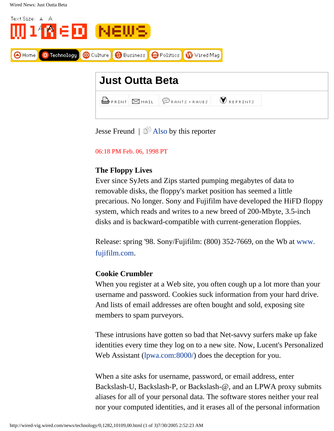

| <b>G</b> PRINT ZMAIL PRANTS + RAUES VREPRINTS |  |
|-----------------------------------------------|--|

Jesse Freund |  $\mathbb{\hat{P}}$  [Also](http://wired-vig.wired.com/news/storylist/0,2339,793,00.html) by this reporter

06:18 PM Feb. 06, 1998 PT

## **The Floppy Lives**

Ever since SyJets and Zips started pumping megabytes of data to removable disks, the floppy's market position has seemed a little precarious. No longer. Sony and Fujifilm have developed the HiFD floppy system, which reads and writes to a new breed of 200-Mbyte, 3.5-inch disks and is backward-compatible with current-generation floppies.

Release: spring '98. Sony/Fujifilm: (800) 352-7669, on the Wb at [www.](http://www.fujifilm.com/) [fujifilm.com](http://www.fujifilm.com/).

## **Cookie Crumbler**

When you register at a Web site, you often cough up a lot more than your username and password. Cookies suck information from your hard drive. And lists of email addresses are often bought and sold, exposing site members to spam purveyors.

These intrusions have gotten so bad that Net-savvy surfers make up fake identities every time they log on to a new site. Now, Lucent's Personalized Web Assistant [\(lpwa.com:8000/](http://lpwa.com:8000/)) does the deception for you.

When a site asks for username, password, or email address, enter Backslash-U, Backslash-P, or Backslash-@, and an LPWA proxy submits aliases for all of your personal data. The software stores neither your real nor your computed identities, and it erases all of the personal information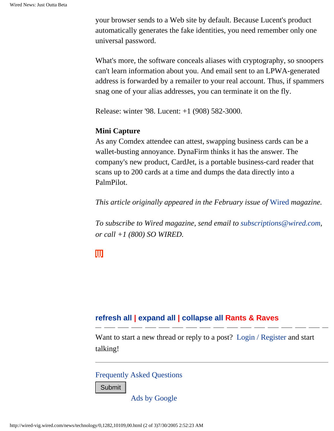your browser sends to a Web site by default. Because Lucent's product automatically generates the fake identities, you need remember only one universal password.

What's more, the software conceals aliases with cryptography, so snoopers can't learn information about you. And email sent to an LPWA-generated address is forwarded by a remailer to your real account. Thus, if spammers snag one of your alias addresses, you can terminate it on the fly.

Release: winter '98. Lucent: +1 (908) 582-3000.

#### **Mini Capture**

As any Comdex attendee can attest, swapping business cards can be a wallet-busting annoyance. DynaFirm thinks it has the answer. The company's new product, CardJet, is a portable business-card reader that scans up to 200 cards at a time and dumps the data directly into a PalmPilot.

*This article originally appeared in the February issue of* [Wired](http://www.wired.com/wired) *magazine.*

*To subscribe to Wired magazine, send email to [subscriptions@wired.com,](mailto:subscriptions@wired.com) or call +1 (800) SO WIRED.*

# Ш

## **[refresh all](javascript:window.location.reload();) | [expand all](javascript:expandAll();) | [collapse all](javascript:collapseAll();) Rants & Raves**

Want to start a new thread or reply to a post? [Login / Register](javascript:manager.login()) and start talking!

[Frequently Asked Questions](http://wired-vig.wired.com/news/faq/)

[Ads by Google](http://pagead2.googlesyndication.com/pagead/userfeedback?url=www.wired.com&hl=en&adU=www.Acronis.com&adT=Partition%20Manager&adU=www.safeguardeasy.com&adT=SafeGuard%20Easy&adU=www.AllFreeGifts.net&adT=Free%20Windows%20XP&adU=www.safeboot.com&adT=SafeBoot%C2%AE%20Data%20Encryption&done=1)